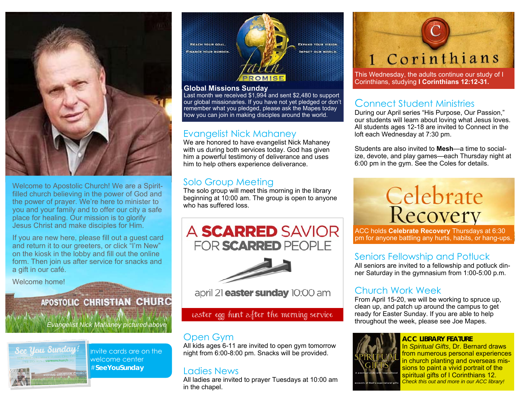

Welcome to Apostolic Church! We are a Spiritfilled church believing in the power of God and the power of prayer. We're here to minister to you and your family and to offer our city a safe place for healing. Our mission is to glorify Jesus Christ and make disciples for Him.

If you are new here, please fill out a guest card and return it to our greeters, or click "I'm New" on the kiosk in the lobby and fill out the online form. Then join us after service for snacks and a gift in our café.

Welcome home!

### APOSTOLIC CHRISTIAN CHURC

*Evangelist Nick Mahaney pictured above* 



Invite cards are on the welcome center #**SeeYouSunday** 



#### **Global Missions Sunday**

Last month we received \$1,994 and sent \$2,480 to support our global missionaries. If you have not yet pledged or don't remember what you pledged, please ask the Mapes today how you can join in making disciples around the world.

#### Evangelist Nick Mahaney

We are honored to have evangelist Nick Mahaney with us during both services today. God has given him a powerful testimony of deliverance and uses him to help others experience deliverance.

#### Solo Group Meeting

The solo group will meet this morning in the library beginning at 10:00 am. The group is open to anyone who has suffered loss.





april 21 **easter sunday** 10:00 am

#### easter egg hunt after the morning service

### Open Gym

All kids ages 6-11 are invited to open gym tomorrow night from 6:00-8:00 pm. Snacks will be provided.

#### Ladies News

All ladies are invited to prayer Tuesdays at 10:00 am in the chapel.

# 1 Corinthians

This Wednesday, the adults continue our study of I Corinthians, studying **I Corinthians 12:12-31.**

#### Connect Student Ministries

During our April series "His Purpose, Our Passion," our students will learn about loving what Jesus loves. All students ages 12-18 are invited to Connect in the loft each Wednesday at 7:30 pm.

Students are also invited to **Mesh**—a time to socialize, devote, and play games—each Thursday night at 6:00 pm in the gym. See the Coles for details.



ACC holds **Celebrate Recovery** Thursdays at 6:30 pm for anyone battling any hurts, habits, or hang-ups.

#### Seniors Fellowship and Potluck

All seniors are invited to a fellowship and potluck dinner Saturday in the gymnasium from 1:00-5:00 p.m.

### Church Work Week

From April 15-20, we will be working to spruce up, clean up, and patch up around the campus to get ready for Easter Sunday. If you are able to help throughout the week, please see Joe Mapes.

#### **ACC LIBRARY FEATURE**



In *Spiritual Gifts*, Dr. Bernard draws from numerous personal experiences in church planting and overseas missions to paint a vivid portrait of the spiritual gifts of I Corinthians 12. *Check this out and more in our ACC library!*